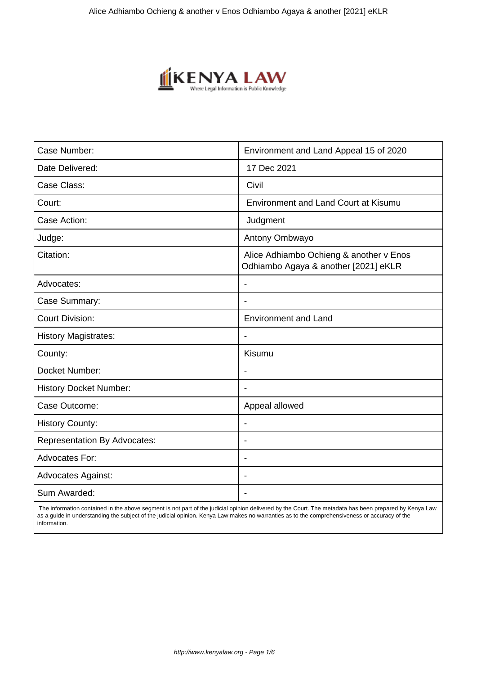

| Case Number:                        | Environment and Land Appeal 15 of 2020                                          |
|-------------------------------------|---------------------------------------------------------------------------------|
| Date Delivered:                     | 17 Dec 2021                                                                     |
| Case Class:                         | Civil                                                                           |
| Court:                              | <b>Environment and Land Court at Kisumu</b>                                     |
| Case Action:                        | Judgment                                                                        |
| Judge:                              | Antony Ombwayo                                                                  |
| Citation:                           | Alice Adhiambo Ochieng & another v Enos<br>Odhiambo Agaya & another [2021] eKLR |
| Advocates:                          |                                                                                 |
| Case Summary:                       |                                                                                 |
| <b>Court Division:</b>              | <b>Environment and Land</b>                                                     |
| <b>History Magistrates:</b>         | $\blacksquare$                                                                  |
| County:                             | Kisumu                                                                          |
| Docket Number:                      |                                                                                 |
| <b>History Docket Number:</b>       |                                                                                 |
| Case Outcome:                       | Appeal allowed                                                                  |
| <b>History County:</b>              | $\blacksquare$                                                                  |
| <b>Representation By Advocates:</b> | $\overline{\phantom{a}}$                                                        |
| Advocates For:                      | $\overline{\phantom{0}}$                                                        |
| <b>Advocates Against:</b>           |                                                                                 |
| Sum Awarded:                        |                                                                                 |

 The information contained in the above segment is not part of the judicial opinion delivered by the Court. The metadata has been prepared by Kenya Law as a guide in understanding the subject of the judicial opinion. Kenya Law makes no warranties as to the comprehensiveness or accuracy of the information.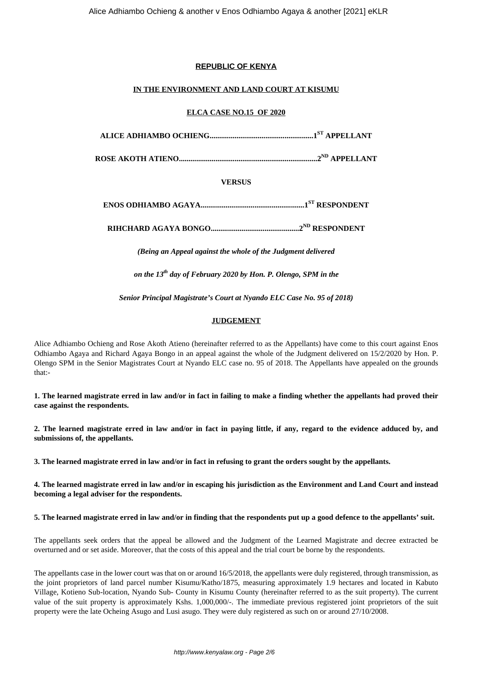## **REPUBLIC OF KENYA**

## **IN THE ENVIRONMENT AND LAND COURT AT KISUMU**

## **ELCA CASE NO.15 OF 2020**

|--|--|

**ROSE AKOTH ATIENO........................................................................2ND APPELLANT**

## **VERSUS**

**ENOS ODHIAMBO AGAYA......................................................1ST RESPONDENT**

**RIHCHARD AGAYA BONGO..............................................2ND RESPONDENT**

*(Being an Appeal against the whole of the Judgment delivered*

*on the 13th day of February 2020 by Hon. P. Olengo, SPM in the*

*Senior Principal Magistrate's Court at Nyando ELC Case No. 95 of 2018)*

# **JUDGEMENT**

Alice Adhiambo Ochieng and Rose Akoth Atieno (hereinafter referred to as the Appellants) have come to this court against Enos Odhiambo Agaya and Richard Agaya Bongo in an appeal against the whole of the Judgment delivered on 15/2/2020 by Hon. P. Olengo SPM in the Senior Magistrates Court at Nyando ELC case no. 95 of 2018. The Appellants have appealed on the grounds that:-

**1. The learned magistrate erred in law and/or in fact in failing to make a finding whether the appellants had proved their case against the respondents.**

**2. The learned magistrate erred in law and/or in fact in paying little, if any, regard to the evidence adduced by, and submissions of, the appellants.**

**3. The learned magistrate erred in law and/or in fact in refusing to grant the orders sought by the appellants.**

**4. The learned magistrate erred in law and/or in escaping his jurisdiction as the Environment and Land Court and instead becoming a legal adviser for the respondents.**

**5. The learned magistrate erred in law and/or in finding that the respondents put up a good defence to the appellants' suit.**

The appellants seek orders that the appeal be allowed and the Judgment of the Learned Magistrate and decree extracted be overturned and or set aside. Moreover, that the costs of this appeal and the trial court be borne by the respondents.

The appellants case in the lower court was that on or around 16/5/2018, the appellants were duly registered, through transmission, as the joint proprietors of land parcel number Kisumu/Katho/1875, measuring approximately 1.9 hectares and located in Kabuto Village, Kotieno Sub-location, Nyando Sub- County in Kisumu County (hereinafter referred to as the suit property). The current value of the suit property is approximately Kshs. 1,000,000/-. The immediate previous registered joint proprietors of the suit property were the late Ocheing Asugo and Lusi asugo. They were duly registered as such on or around 27/10/2008.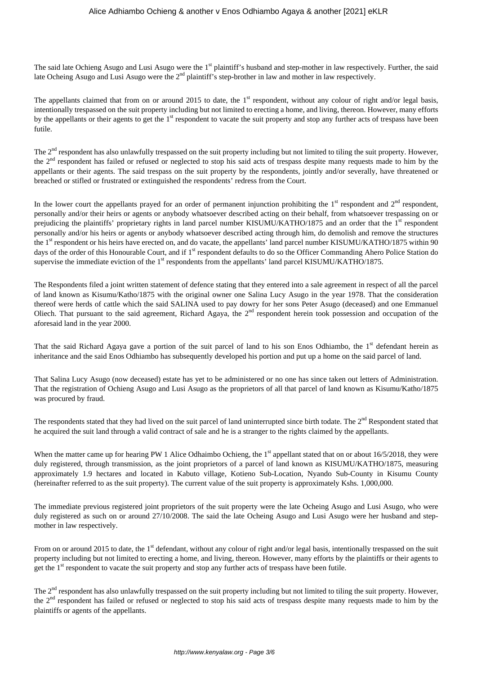The said late Ochieng Asugo and Lusi Asugo were the 1<sup>st</sup> plaintiff's husband and step-mother in law respectively. Further, the said late Ocheing Asugo and Lusi Asugo were the 2<sup>nd</sup> plaintiff's step-brother in law and mother in law respectively.

The appellants claimed that from on or around 2015 to date, the 1<sup>st</sup> respondent, without any colour of right and/or legal basis, intentionally trespassed on the suit property including but not limited to erecting a home, and living, thereon. However, many efforts by the appellants or their agents to get the 1<sup>st</sup> respondent to vacate the suit property and stop any further acts of trespass have been futile.

The  $2<sup>nd</sup>$  respondent has also unlawfully trespassed on the suit property including but not limited to tiling the suit property. However, the 2<sup>nd</sup> respondent has failed or refused or neglected to stop his said acts of trespass despite many requests made to him by the appellants or their agents. The said trespass on the suit property by the respondents, jointly and/or severally, have threatened or breached or stifled or frustrated or extinguished the respondents' redress from the Court.

In the lower court the appellants prayed for an order of permanent injunction prohibiting the  $1<sup>st</sup>$  respondent and  $2<sup>nd</sup>$  respondent, personally and/or their heirs or agents or anybody whatsoever described acting on their behalf, from whatsoever trespassing on or prejudicing the plaintiffs' proprietary rights in land parcel number KISUMU/KATHO/1875 and an order that the 1<sup>st</sup> respondent personally and/or his heirs or agents or anybody whatsoever described acting through him, do demolish and remove the structures the 1<sup>st</sup> respondent or his heirs have erected on, and do vacate, the appellants' land parcel number KISUMU/KATHO/1875 within 90 days of the order of this Honourable Court, and if 1<sup>st</sup> respondent defaults to do so the Officer Commanding Ahero Police Station do supervise the immediate eviction of the 1<sup>st</sup> respondents from the appellants' land parcel KISUMU/KATHO/1875.

The Respondents filed a joint written statement of defence stating that they entered into a sale agreement in respect of all the parcel of land known as Kisumu/Katho/1875 with the original owner one Salina Lucy Asugo in the year 1978. That the consideration thereof were herds of cattle which the said SALINA used to pay dowry for her sons Peter Asugo (deceased) and one Emmanuel Oliech. That pursuant to the said agreement, Richard Agaya, the 2nd respondent herein took possession and occupation of the aforesaid land in the year 2000.

That the said Richard Agaya gave a portion of the suit parcel of land to his son Enos Odhiambo, the  $1<sup>st</sup>$  defendant herein as inheritance and the said Enos Odhiambo has subsequently developed his portion and put up a home on the said parcel of land.

That Salina Lucy Asugo (now deceased) estate has yet to be administered or no one has since taken out letters of Administration. That the registration of Ochieng Asugo and Lusi Asugo as the proprietors of all that parcel of land known as Kisumu/Katho/1875 was procured by fraud.

The respondents stated that they had lived on the suit parcel of land uninterrupted since birth todate. The  $2<sup>nd</sup>$  Respondent stated that he acquired the suit land through a valid contract of sale and he is a stranger to the rights claimed by the appellants.

When the matter came up for hearing PW 1 Alice Odhaimbo Ochieng, the  $1<sup>st</sup>$  appellant stated that on or about  $16/5/2018$ , they were duly registered, through transmission, as the joint proprietors of a parcel of land known as KISUMU/KATHO/1875, measuring approximately 1.9 hectares and located in Kabuto village, Kotieno Sub-Location, Nyando Sub-County in Kisumu County (hereinafter referred to as the suit property). The current value of the suit property is approximately Kshs. 1,000,000.

The immediate previous registered joint proprietors of the suit property were the late Ocheing Asugo and Lusi Asugo, who were duly registered as such on or around 27/10/2008. The said the late Ocheing Asugo and Lusi Asugo were her husband and stepmother in law respectively.

From on or around 2015 to date, the 1<sup>st</sup> defendant, without any colour of right and/or legal basis, intentionally trespassed on the suit property including but not limited to erecting a home, and living, thereon. However, many efforts by the plaintiffs or their agents to get the 1<sup>st</sup> respondent to vacate the suit property and stop any further acts of trespass have been futile.

The  $2<sup>nd</sup>$  respondent has also unlawfully trespassed on the suit property including but not limited to tiling the suit property. However, the 2nd respondent has failed or refused or neglected to stop his said acts of trespass despite many requests made to him by the plaintiffs or agents of the appellants.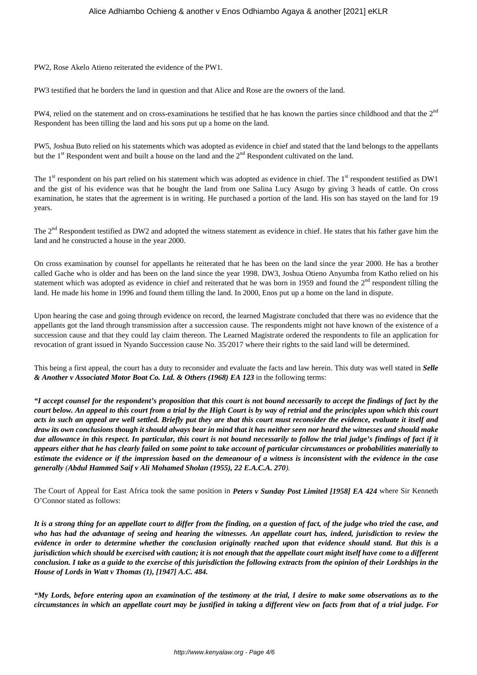PW2, Rose Akelo Atieno reiterated the evidence of the PW1.

PW3 testified that he borders the land in question and that Alice and Rose are the owners of the land.

PW4, relied on the statement and on cross-examinations he testified that he has known the parties since childhood and that the 2<sup>nd</sup> Respondent has been tilling the land and his sons put up a home on the land.

PW5, Joshua Buto relied on his statements which was adopted as evidence in chief and stated that the land belongs to the appellants but the 1<sup>st</sup> Respondent went and built a house on the land and the 2<sup>nd</sup> Respondent cultivated on the land.

The  $1<sup>st</sup>$  respondent on his part relied on his statement which was adopted as evidence in chief. The  $1<sup>st</sup>$  respondent testified as DW1 and the gist of his evidence was that he bought the land from one Salina Lucy Asugo by giving 3 heads of cattle. On cross examination, he states that the agreement is in writing. He purchased a portion of the land. His son has stayed on the land for 19 years.

The  $2<sup>nd</sup>$  Respondent testified as DW2 and adopted the witness statement as evidence in chief. He states that his father gave him the land and he constructed a house in the year 2000.

On cross examination by counsel for appellants he reiterated that he has been on the land since the year 2000. He has a brother called Gache who is older and has been on the land since the year 1998. DW3, Joshua Otieno Anyumba from Katho relied on his statement which was adopted as evidence in chief and reiterated that he was born in 1959 and found the  $2<sup>nd</sup>$  respondent tilling the land. He made his home in 1996 and found them tilling the land. In 2000, Enos put up a home on the land in dispute.

Upon hearing the case and going through evidence on record, the learned Magistrate concluded that there was no evidence that the appellants got the land through transmission after a succession cause. The respondents might not have known of the existence of a succession cause and that they could lay claim thereon. The Learned Magistrate ordered the respondents to file an application for revocation of grant issued in Nyando Succession cause No. 35/2017 where their rights to the said land will be determined.

This being a first appeal, the court has a duty to reconsider and evaluate the facts and law herein. This duty was well stated in *Selle & Another v Associated Motor Boat Co. Ltd. & Others (1968) EA 123* in the following terms:

*"I accept counsel for the respondent's proposition that this court is not bound necessarily to accept the findings of fact by the court below. An appeal to this court from a trial by the High Court is by way of retrial and the principles upon which this court acts in such an appeal are well settled. Briefly put they are that this court must reconsider the evidence, evaluate it itself and draw its own conclusions though it should always bear in mind that it has neither seen nor heard the witnesses and should make due allowance in this respect. In particular, this court is not bound necessarily to follow the trial judge's findings of fact if it appears either that he has clearly failed on some point to take account of particular circumstances or probabilities materially to estimate the evidence or if the impression based on the demeanour of a witness is inconsistent with the evidence in the case generally (Abdul Hammed Saif v Ali Mohamed Sholan (1955), 22 E.A.C.A. 270).*

The Court of Appeal for East Africa took the same position in *Peters v Sunday Post Limited [1958] EA 424* where Sir Kenneth O'Connor stated as follows:

*It is a strong thing for an appellate court to differ from the finding, on a question of fact, of the judge who tried the case, and who has had the advantage of seeing and hearing the witnesses. An appellate court has, indeed, jurisdiction to review the evidence in order to determine whether the conclusion originally reached upon that evidence should stand. But this is a jurisdiction which should be exercised with caution; it is not enough that the appellate court might itself have come to a different conclusion. I take as a guide to the exercise of this jurisdiction the following extracts from the opinion of their Lordships in the House of Lords in Watt v Thomas (1), [1947] A.C. 484.*

*"My Lords, before entering upon an examination of the testimony at the trial, I desire to make some observations as to the circumstances in which an appellate court may be justified in taking a different view on facts from that of a trial judge. For*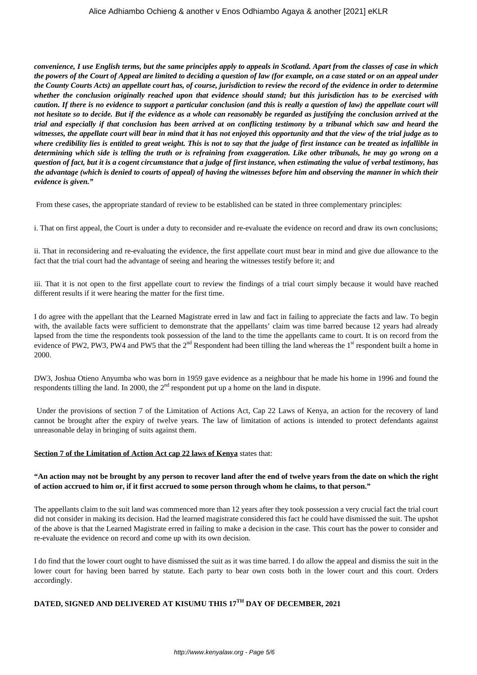*convenience, I use English terms, but the same principles apply to appeals in Scotland. Apart from the classes of case in which the powers of the Court of Appeal are limited to deciding a question of law (for example, on a case stated or on an appeal under the County Courts Acts) an appellate court has, of course, jurisdiction to review the record of the evidence in order to determine whether the conclusion originally reached upon that evidence should stand; but this jurisdiction has to be exercised with caution. If there is no evidence to support a particular conclusion (and this is really a question of law) the appellate court will not hesitate so to decide. But if the evidence as a whole can reasonably be regarded as justifying the conclusion arrived at the trial and especially if that conclusion has been arrived at on conflicting testimony by a tribunal which saw and heard the witnesses, the appellate court will bear in mind that it has not enjoyed this opportunity and that the view of the trial judge as to where credibility lies is entitled to great weight. This is not to say that the judge of first instance can be treated as infallible in determining which side is telling the truth or is refraining from exaggeration. Like other tribunals, he may go wrong on a question of fact, but it is a cogent circumstance that a judge of first instance, when estimating the value of verbal testimony, has the advantage (which is denied to courts of appeal) of having the witnesses before him and observing the manner in which their evidence is given."*

From these cases, the appropriate standard of review to be established can be stated in three complementary principles:

i. That on first appeal, the Court is under a duty to reconsider and re-evaluate the evidence on record and draw its own conclusions;

ii. That in reconsidering and re-evaluating the evidence, the first appellate court must bear in mind and give due allowance to the fact that the trial court had the advantage of seeing and hearing the witnesses testify before it; and

iii. That it is not open to the first appellate court to review the findings of a trial court simply because it would have reached different results if it were hearing the matter for the first time.

I do agree with the appellant that the Learned Magistrate erred in law and fact in failing to appreciate the facts and law. To begin with, the available facts were sufficient to demonstrate that the appellants' claim was time barred because 12 years had already lapsed from the time the respondents took possession of the land to the time the appellants came to court. It is on record from the evidence of PW2, PW3, PW4 and PW5 that the 2<sup>nd</sup> Respondent had been tilling the land whereas the 1<sup>st</sup> respondent built a home in 2000.

DW3, Joshua Otieno Anyumba who was born in 1959 gave evidence as a neighbour that he made his home in 1996 and found the respondents tilling the land. In 2000, the  $2<sup>nd</sup>$  respondent put up a home on the land in dispute.

Under the provisions of section 7 of the Limitation of Actions Act, Cap 22 Laws of Kenya, an action for the recovery of land cannot be brought after the expiry of twelve years. The law of limitation of actions is intended to protect defendants against unreasonable delay in bringing of suits against them.

#### **Section 7 of the Limitation of Action Act cap 22 laws of Kenya** states that:

## **"An action may not be brought by any person to recover land after the end of twelve years from the date on which the right of action accrued to him or, if it first accrued to some person through whom he claims, to that person."**

The appellants claim to the suit land was commenced more than 12 years after they took possession a very crucial fact the trial court did not consider in making its decision. Had the learned magistrate considered this fact he could have dismissed the suit. The upshot of the above is that the Learned Magistrate erred in failing to make a decision in the case. This court has the power to consider and re-evaluate the evidence on record and come up with its own decision.

I do find that the lower court ought to have dismissed the suit as it was time barred. I do allow the appeal and dismiss the suit in the lower court for having been barred by statute. Each party to bear own costs both in the lower court and this court. Orders accordingly.

# **DATED, SIGNED AND DELIVERED AT KISUMU THIS 17TH DAY OF DECEMBER, 2021**